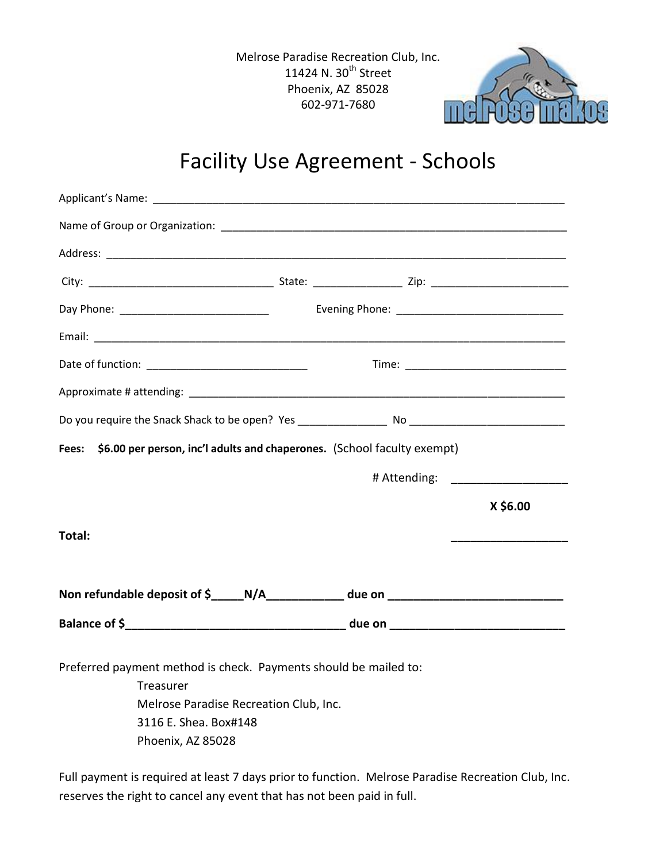Melrose Paradise Recreation Club, Inc. 11424 N. 30<sup>th</sup> Street Phoenix, AZ 85028 602-971-7680



## Facility Use Agreement - Schools

| Fees: \$6.00 per person, inc'l adults and chaperones. (School faculty exempt)     |  |                                      |
|-----------------------------------------------------------------------------------|--|--------------------------------------|
|                                                                                   |  |                                      |
|                                                                                   |  | # Attending: _______________________ |
|                                                                                   |  | X \$6.00                             |
| Total:                                                                            |  |                                      |
|                                                                                   |  |                                      |
| Non refundable deposit of \$_____N/A_____________ due on ________________________ |  |                                      |
|                                                                                   |  |                                      |
|                                                                                   |  |                                      |
| Preferred payment method is check. Payments should be mailed to:<br>Treasurer     |  |                                      |
| Melrose Paradise Recreation Club, Inc.                                            |  |                                      |
| 3116 E. Shea. Box#148                                                             |  |                                      |
| Phoenix, AZ 85028                                                                 |  |                                      |

Full payment is required at least 7 days prior to function. Melrose Paradise Recreation Club, Inc. reserves the right to cancel any event that has not been paid in full.